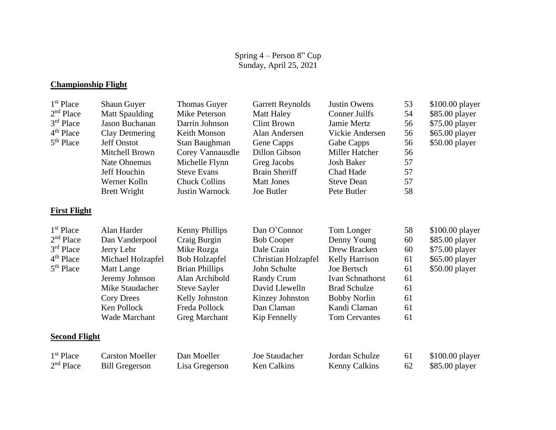## **Championship Flight**

| 1 <sup>st</sup> Place | <b>Shaun Guyer</b>     | <b>Thomas Guyer</b>   | <b>Garrett Reynolds</b> | <b>Justin Owens</b>   | 53 | \$100.00 player |
|-----------------------|------------------------|-----------------------|-------------------------|-----------------------|----|-----------------|
| $2nd$ Place           | <b>Matt Spaulding</b>  | Mike Peterson         | <b>Matt Haley</b>       | <b>Conner Juilfs</b>  | 54 | \$85.00 player  |
| 3 <sup>rd</sup> Place | Jason Buchanan         | Darrin Johnson        | <b>Clint Brown</b>      | Jamie Mertz           | 56 | \$75.00 player  |
| $4th$ Place           | Clay Detmering         | Keith Monson          | Alan Andersen           | Vickie Andersen       | 56 | \$65.00 player  |
| 5 <sup>th</sup> Place | <b>Jeff Onstot</b>     | Stan Baughman         | Gene Capps              | Gabe Capps            | 56 | \$50.00 player  |
|                       | Mitchell Brown         | Corey Vannausdle      | Dillon Gibson           | <b>Miller Hatcher</b> | 56 |                 |
|                       | <b>Nate Ohnemus</b>    | Michelle Flynn        | Greg Jacobs             | <b>Josh Baker</b>     | 57 |                 |
|                       | Jeff Houchin           | <b>Steve Evans</b>    | <b>Brain Sheriff</b>    | Chad Hade             | 57 |                 |
|                       | Werner Kolln           | <b>Chuck Collins</b>  | <b>Matt Jones</b>       | <b>Steve Dean</b>     | 57 |                 |
|                       | <b>Brett Wright</b>    | Justin Warnock        | Joe Butler              | Pete Butler           | 58 |                 |
| <b>First Flight</b>   |                        |                       |                         |                       |    |                 |
| $1st$ Place           | Alan Harder            | <b>Kenny Phillips</b> | Dan O'Connor            | Tom Longer            | 58 | \$100.00 player |
| $2nd$ Place           | Dan Vanderpool         | Craig Burgin          | <b>Bob Cooper</b>       | Denny Young           | 60 | \$85.00 player  |
| 3rd Place             | Jerry Lehr             | Mike Rozga            | Dale Crain              | Drew Bracken          | 60 | \$75.00 player  |
| 4 <sup>th</sup> Place | Michael Holzapfel      | <b>Bob Holzapfel</b>  | Christian Holzapfel     | Kelly Harrison        | 61 | \$65.00 player  |
| 5 <sup>th</sup> Place | <b>Matt Lange</b>      | <b>Brian Phillips</b> | John Schulte            | Joe Bertsch           | 61 | \$50.00 player  |
|                       | Jeremy Johnson         | Alan Archibold        | Randy Crum              | Ivan Schnathorst      | 61 |                 |
|                       | Mike Staudacher        | <b>Steve Sayler</b>   | David Llewelln          | <b>Brad Schulze</b>   | 61 |                 |
|                       | <b>Cory Drees</b>      | Kelly Johnston        | Kinzey Johnston         | <b>Bobby Norlin</b>   | 61 |                 |
|                       | Ken Pollock            | Freda Pollock         | Dan Claman              | Kandi Claman          | 61 |                 |
|                       | <b>Wade Marchant</b>   | <b>Greg Marchant</b>  | Kip Fennelly            | <b>Tom Cervantes</b>  | 61 |                 |
| <b>Second Flight</b>  |                        |                       |                         |                       |    |                 |
| 1 <sup>st</sup> Place | <b>Carston Moeller</b> | Dan Moeller           | Joe Staudacher          | Jordan Schulze        | 61 | \$100.00 player |
| 2 <sup>nd</sup> Place | <b>Bill Gregerson</b>  | Lisa Gregerson        | <b>Ken Calkins</b>      | <b>Kenny Calkins</b>  | 62 | \$85.00 player  |